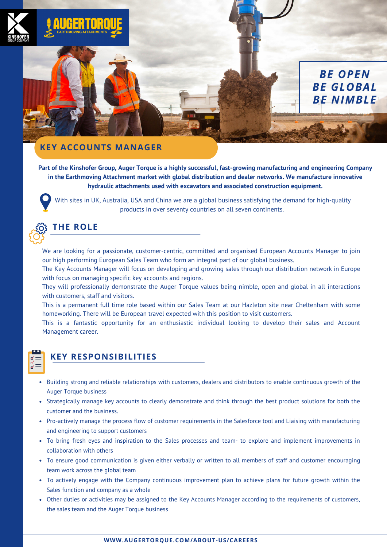

Part of the Kinshofer Group, Auger Torque is a highly successful, fast-growing manufacturing and engineering Company **in the Earthmoving Attachment market with global distribution and dealer networks. We manufacture innovative hydraulic attachments used with excavators and associated construction equipment.**

*BE OPEN BE GLOBAL BE NIMBLE*

With sites in UK, Australia, USA and China we are a global business satisfying the demand for high-quality products in over seventy countries on all seven continents.



## **THE ROLE**

We are looking for a passionate, customer-centric, committed and organised European Accounts Manager to join our high performing European Sales Team who form an integral part of our global business.

The Key Accounts Manager will focus on developing and growing sales through our distribution network in Europe with focus on managing specific key accounts and regions.

They will professionally demonstrate the Auger Torque values being nimble, open and global in all interactions with customers, staff and visitors.

This is a permanent full time role based within our Sales Team at our Hazleton site near Cheltenham with some homeworking. There will be European travel expected with this position to visit customers.

This is a fantastic opportunity for an enthusiastic individual looking to develop their sales and Account Management career.



## **KEY RESPONSIBILITIES**

- Building strong and reliable relationships with customers, dealers and distributors to enable continuous growth of the Auger Torque business
- Strategically manage key accounts to clearly demonstrate and think through the best product solutions for both the customer and the business.
- Pro-actively manage the process flow of customer requirements in the Salesforce tool and Liaising with manufacturing and engineering to support customers
- To bring fresh eyes and inspiration to the Sales processes and team- to explore and implement improvements in collaboration with others
- To ensure good communication is given either verbally or written to all members of staff and customer encouraging team work across the global team
- To actively engage with the Company continuous improvement plan to achieve plans for future growth within the Sales function and company as a whole
- Other duties or activities may be assigned to the Key Accounts Manager according to the requirements of customers, the sales team and the Auger Torque business